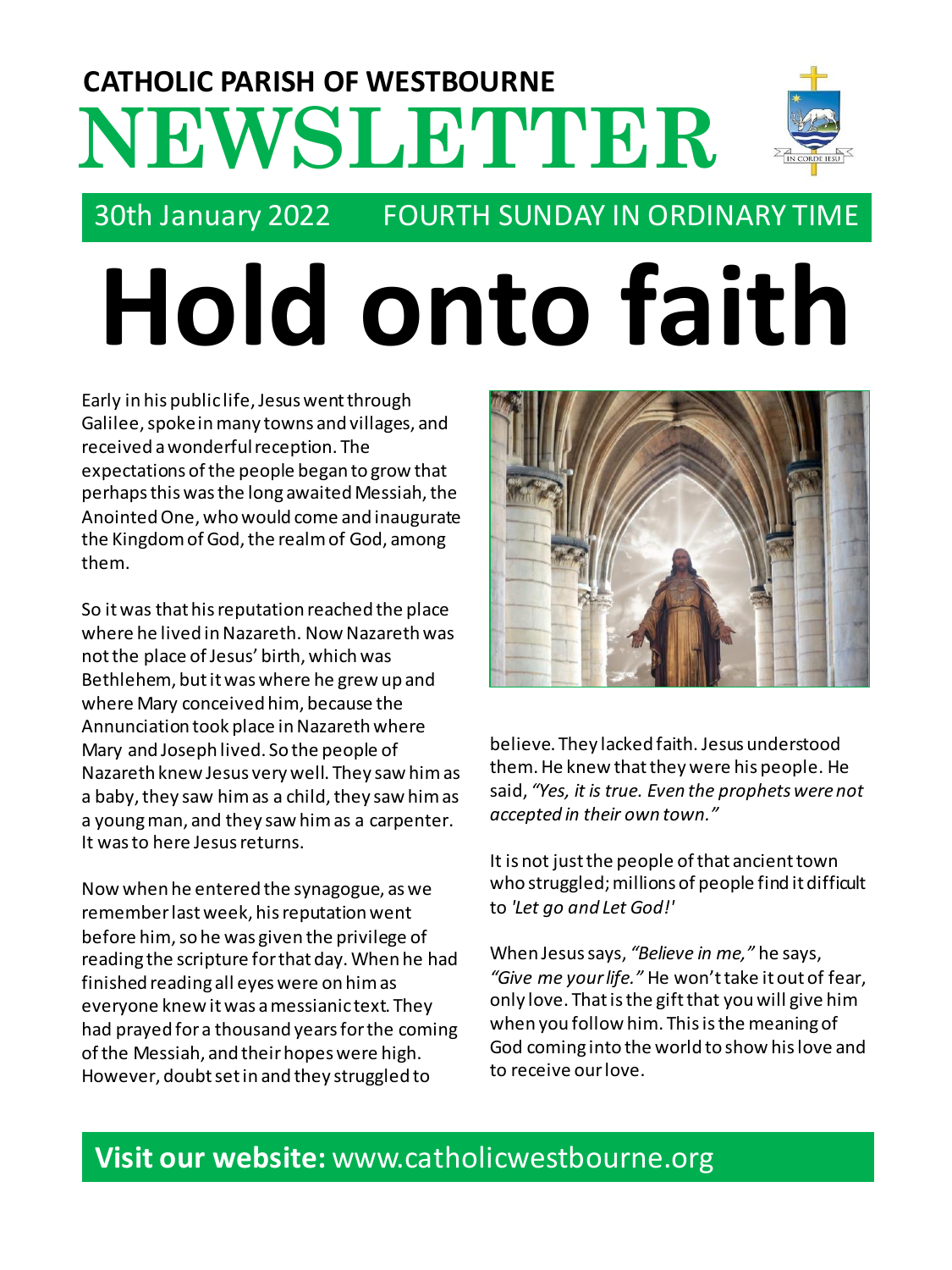## **NEWSLETTER CATHOLIC PARISH OF WESTBOURNE**



### 30th January 2022 FOURTH SUNDAY IN ORDINARY TIME

# **Hold onto faith**

Early in his public life, Jesus went through Galilee, spoke in many towns and villages, and received a wonderful reception. The expectations of the people began to grow that perhaps this was the long awaited Messiah, the Anointed One, who would come and inaugurate the Kingdom of God, the realm of God, among them.

So it was that his reputation reached the place where he lived in Nazareth. Now Nazareth was not the place of Jesus' birth, which was Bethlehem, but it was where he grew up and where Mary conceived him, because the Annunciation took place in Nazareth where Mary and Joseph lived. So the people of Nazareth knew Jesus very well. They saw him as a baby, they saw him as a child, they saw him as a young man, and they saw him as a carpenter. It was to here Jesus returns.

Now when he entered the synagogue, as we remember last week, his reputation went before him, so he was given the privilege of reading the scripture for that day. When he had finished reading all eyes were on him as everyone knew it was a messianic text. They had prayed for a thousand years for the coming of the Messiah, and their hopes were high. However, doubt set in and they struggled to



believe. They lacked faith. Jesus understood them. He knew that they were his people. He said, *"Yes, it is true. Even the prophets were not accepted in their own town."*

It is not just the people of that ancient town who struggled; millions of people find it difficult to *'Let go and Let God!'*

When Jesus says, *"Believe in me,"* he says, *"Give me your life."* He won't take it out of fear, only love. That is the gift that you will give him when you follow him. This is the meaning of God coming into the world to show his love and to receive our love.

#### **Visit our website:** www.catholicwestbourne.org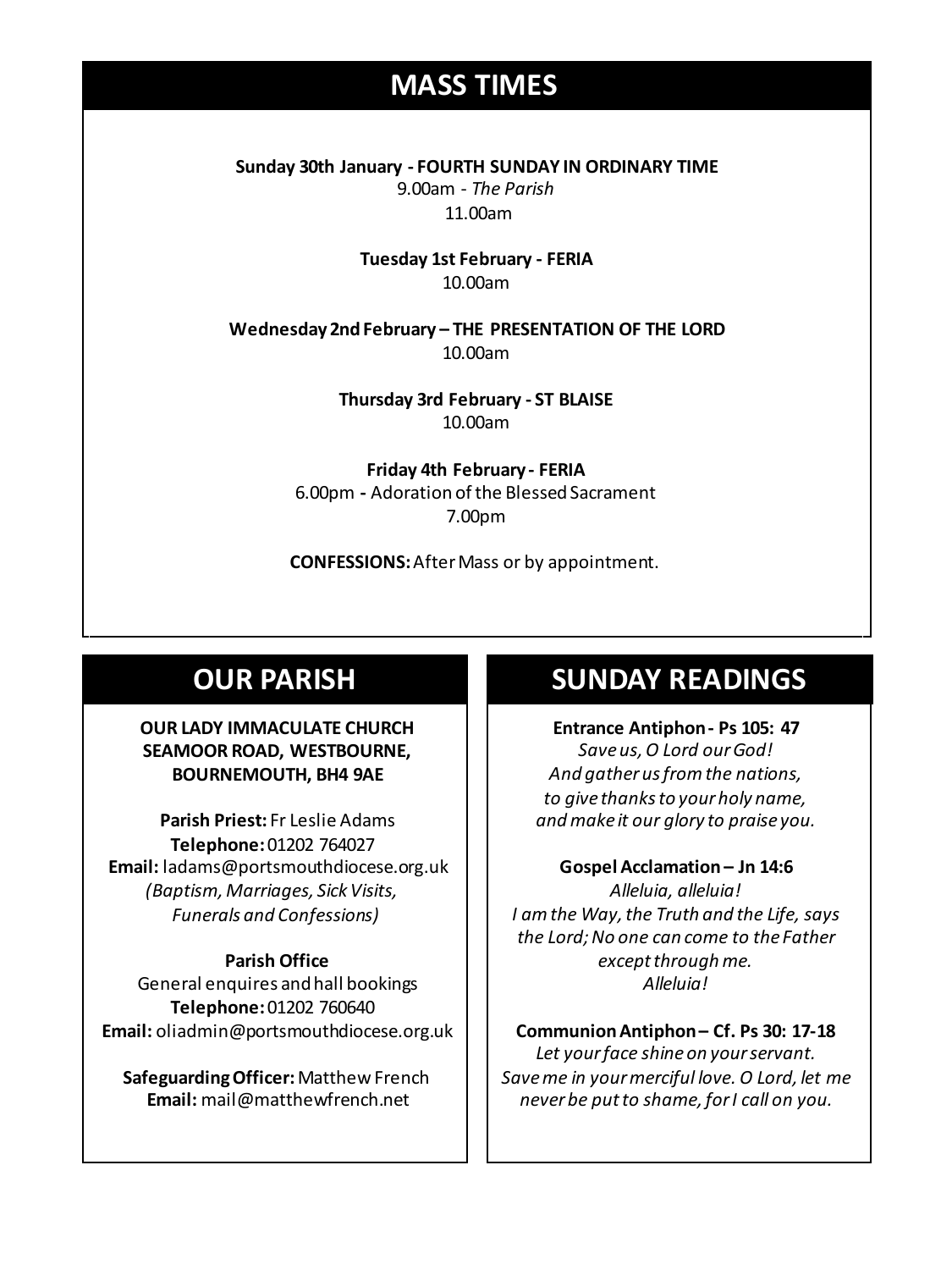### **MASS TIMES**

**Sunday 30th January - FOURTH SUNDAY IN ORDINARY TIME** 9.00am - *The Parish* 11.00am

> **Tuesday 1st February - FERIA** 10.00am

**Sunday 11th 9am:** *The Parish* **11am** *Tim Mc Cann* **Wednesday 14th** *Repose of the souls of Bernard Charles and Elsie May Pratt* **Wednesday 2nd February – THE PRESENTATION OF THE LORD** 10.00am

**Saturday 16th** *Rosemarie Schofield RIP* **Thursday 3rd February - ST BLAISE** 10.00am

> **Friday 4th February - FERIA** 6.00pm **-** Adoration of the Blessed Sacrament 7.00pm

**CONFESSIONS:**After Mass or by appointment.

#### **OUR PARISH**

#### **OUR LADY IMMACULATE CHURCH SEAMOOR ROAD, WESTBOURNE, BOURNEMOUTH, BH4 9AE**

**Parish Priest:** Fr Leslie Adams **Telephone:**01202 764027 **Email:** ladams@portsmouthdiocese.org.uk *(Baptism, Marriages, Sick Visits, Funerals and Confessions)*

#### **Parish Office**

General enquires andhall bookings **Telephone:**01202 760640 **Email:** oliadmin@portsmouthdiocese.org.uk

**Safeguarding Officer:** Matthew French **Email:** mail@matthewfrench.net

#### **SUNDAY READINGS**

**Entrance Antiphon - Ps 105: 47** *Save us, O Lord our God! And gather us from the nations, to give thanks to your holy name, and make it our glory to praise you.*

**Gospel Acclamation – Jn 14:6** *Alleluia, alleluia! I am the Way, the Truth and the Life, says the Lord; No one can come to the Father except through me. Alleluia!*

**Communion Antiphon – Cf. Ps 30: 17-18** *Let your face shine on your servant. Save me in your merciful love. O Lord, let me never be put to shame, for I call on you.*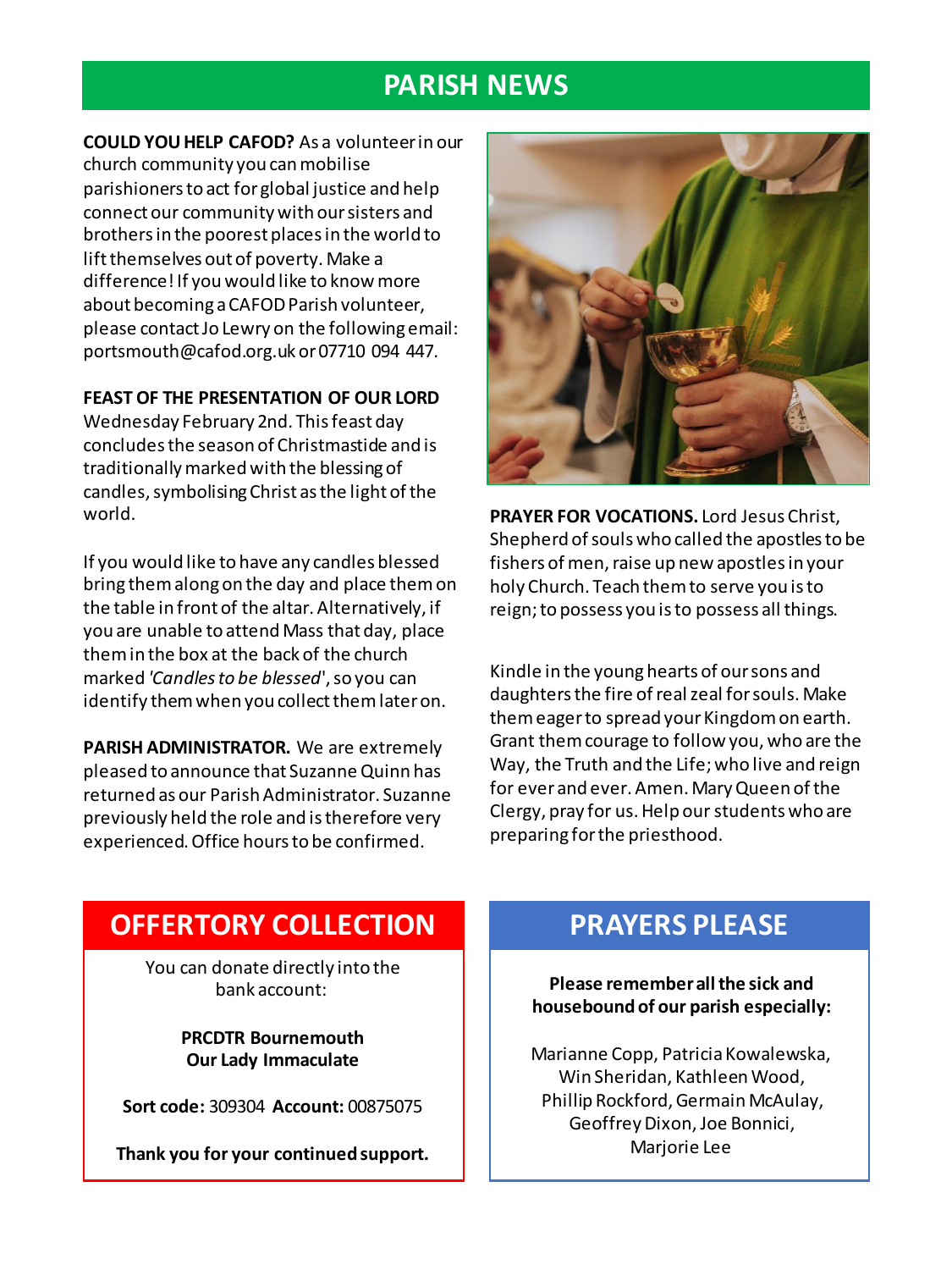#### **PARISH NEWS**

**COULD YOU HELP CAFOD?** As a volunteer in our church community you can mobilise parishioners to act for global justice and help connect our community with our sisters and brothers in the poorest places in the world to lift themselves out of poverty. Make a difference! If you would like to know more about becoming a CAFOD Parish volunteer, please contact Jo Lewry on the following email: portsmouth@cafod.org.uk or 07710 094 447.

#### **FEAST OF THE PRESENTATION OF OUR LORD**

Wednesday February 2nd. This feast day concludes the season of Christmastide and is traditionally marked with the blessing of candles, symbolising Christ as the light of the world.

If you would like to have any candles blessed bring them along on the day and place them on the table in front of the altar. Alternatively, if you are unable to attend Mass that day, place them in the box at the back of the church marked *'Candles to be blessed*', so you can identify them when you collect them later on.

**PARISH ADMINISTRATOR.** We are extremely pleased to announce that Suzanne Quinn has returned as our Parish Administrator. Suzanne previously held the role and is therefore very experienced. Office hours to be confirmed.



**PRAYER FOR VOCATIONS.** Lord Jesus Christ, Shepherd of souls who called the apostles to be fishers of men, raise up new apostles in your holy Church. Teach them to serve you is to reign; to possess you is to possess all things.

Kindle in the young hearts of our sons and daughters the fire of real zeal for souls. Make them eager to spread your Kingdom on earth. Grant them courage to follow you, who are the Way, the Truth and the Life; who live and reign for ever and ever. Amen. Mary Queen of the Clergy, pray for us. Help our students who are preparing for the priesthood.

#### **OFFERTORY COLLECTION**

You can donate directly into the bank account:

> **PRCDTR Bournemouth Our Lady Immaculate**

**Sort code:** 309304 **Account:** 00875075

**Thank you for your continued support.**

#### **PRAYERS PLEASE**

**Please remember all the sick and housebound of our parish especially:**

Marianne Copp, Patricia Kowalewska, Win Sheridan, Kathleen Wood, Phillip Rockford, Germain McAulay, Geoffrey Dixon, Joe Bonnici, Marjorie Lee